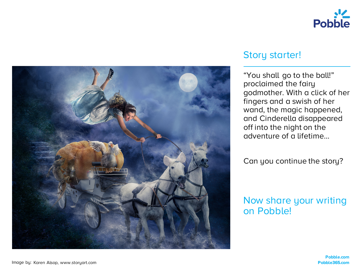



# Story starter!

"You shall go to the ball!" proclaimed the fairy godmother. With a click of her fingers and a swish of her wand, the magic happened, and Cinderella disappeared off into the night on the adventure of a lifetime…

Can you continue the story?

# Now share your writing on Pobble!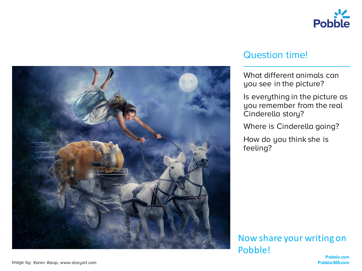



#### Question time!

What different animals can you see in the picture?

Is everything in the picture as you remember from the real Cinderella story?

Where is Cinderella going?

How do you think she is feeling?

Now share your writing on Pobble!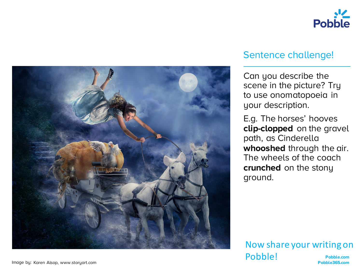



# Sentence challenge!

Can you describe the scene in the picture? Try to use onomatopoeia in your description.

E.g. The horses' hooves **clip-clopped** on the gravel path, as Cinderella **whooshed** through the air. The wheels of the coach **crunched** on the stony ground.

#### **Pobble.com** Image by: **Pobble365.com** Karen Alsop, www.storyart.com Now share your writing on Pobble!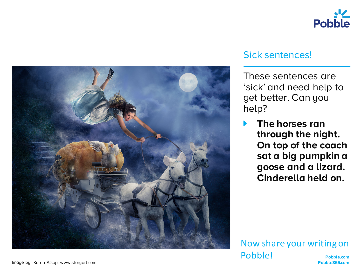



#### Sick sentences!

These sentences are 'sick' and need help to get better. Can you help?

! **The horses ran through the night. On top of the coach sat a big pumpkin a goose and a lizard. Cinderella held on.**

**Pobble.com** Image by: **Pobble365.com** Karen Alsop, www.storyart.com Now share your writing on Pobble!